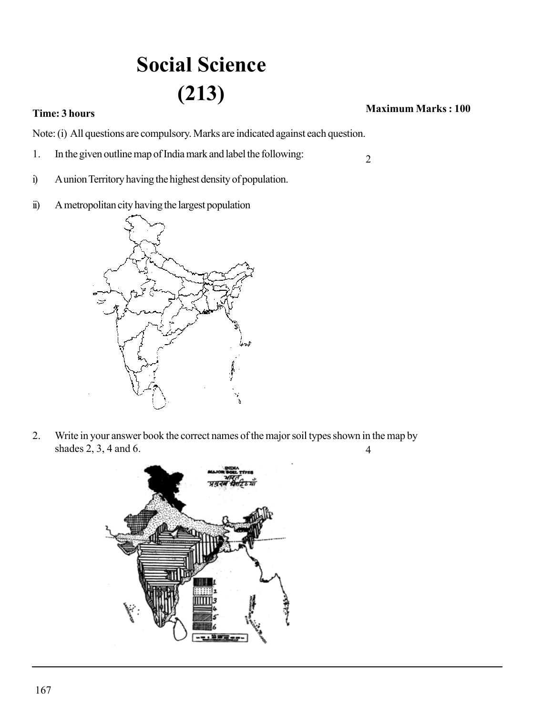## **Social Science (213)**

## **Time: 3 hours CONSTRAINS <b>Maximum Marks** : 100

2

Note: (i) All questions are compulsory. Marks are indicated against each question.

- 1. In the given outline map of India mark and label the following:
- i) A union Territory having the highest density of population.
- ii) A metropolitan city having the largest population



2. Write in your answer book the correct names of the major soil types shown in the map by shades 2, 3, 4 and 6. 4

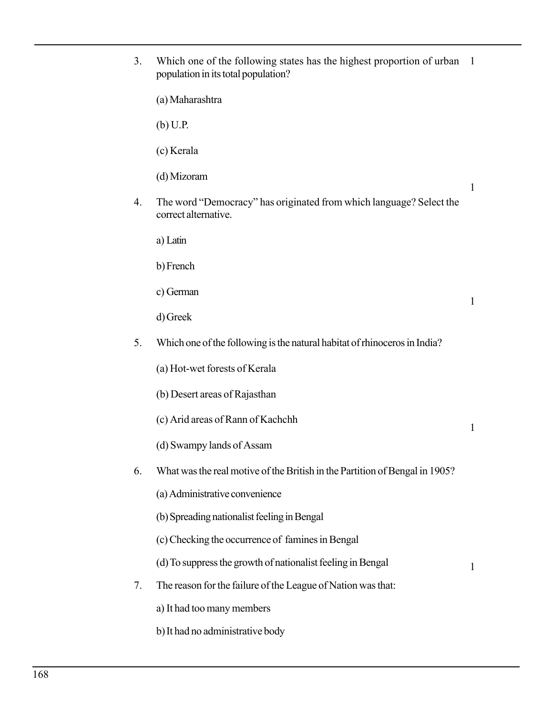| 3. | Which one of the following states has the highest proportion of urban<br>population in its total population? | -1           |
|----|--------------------------------------------------------------------------------------------------------------|--------------|
|    | (a) Maharashtra                                                                                              |              |
|    | $(b)$ U.P.                                                                                                   |              |
|    | (c) Kerala                                                                                                   |              |
|    | (d) Mizoram                                                                                                  | 1            |
| 4. | The word "Democracy" has originated from which language? Select the<br>correct alternative.                  |              |
|    | a) Latin                                                                                                     |              |
|    | b) French                                                                                                    |              |
|    | c) German                                                                                                    | $\mathbf{1}$ |
|    | d) Greek                                                                                                     |              |
| 5. | Which one of the following is the natural habitat of rhinoceros in India?                                    |              |
|    | (a) Hot-wet forests of Kerala                                                                                |              |
|    | (b) Desert areas of Rajasthan                                                                                |              |
|    | (c) Arid areas of Rann of Kachchh                                                                            | $\mathbf{1}$ |
|    | (d) Swampy lands of Assam                                                                                    |              |
| 6. | What was the real motive of the British in the Partition of Bengal in 1905?                                  |              |
|    | (a) Administrative convenience                                                                               |              |
|    | (b) Spreading nationalist feeling in Bengal                                                                  |              |
|    | (c) Checking the occurrence of famines in Bengal                                                             |              |
|    | (d) To suppress the growth of nationalist feeling in Bengal                                                  | 1            |
| 7. | The reason for the failure of the League of Nation was that:                                                 |              |
|    | a) It had too many members                                                                                   |              |

b)It had no administrative body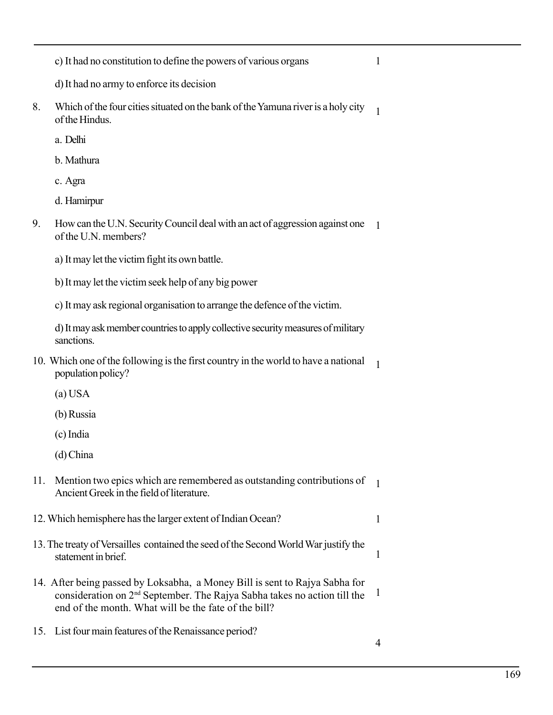c) It had no constitution to define the powers of various organs

1

- d) It had no army to enforce its decision
- 8. Which of the four cities situated on the bank of the Yamuna river is a holy city of the Hindus. 1
	- a. Delhi
	- b. Mathura
	- c. Agra
	- d. Hamirpur
- 9. How can the U.N. Security Council deal with an act of aggression against one 1 of the U.N. members?
	- a) It may let the victim fight its own battle.
	- b) It may let the victim seek help of any big power
	- c) It may ask regional organisation to arrange the defence of the victim.

d) It may ask member countries to apply collective security measures of military sanctions.

- 10. Which one of the following is the first country in the world to have a national population policy? 1
	- (a) USA
	- (b) Russia
	- (c) India
	- (d) China
- 11. Mention two epics which are remembered as outstanding contributions of 1 Ancient Greek in the field of literature.
- 12. Which hemisphere has the larger extent of Indian Ocean? 1
- 13. The treaty of Versailles contained the seed of the Second World War justify the statement in brief.
- 14. After being passed by Loksabha, a Money Bill is sent to Rajya Sabha for consideration on 2nd September. The Rajya Sabha takes no action till the end of the month. What will be the fate of the bill?
- 15. List four main features of the Renaissance period?

1

1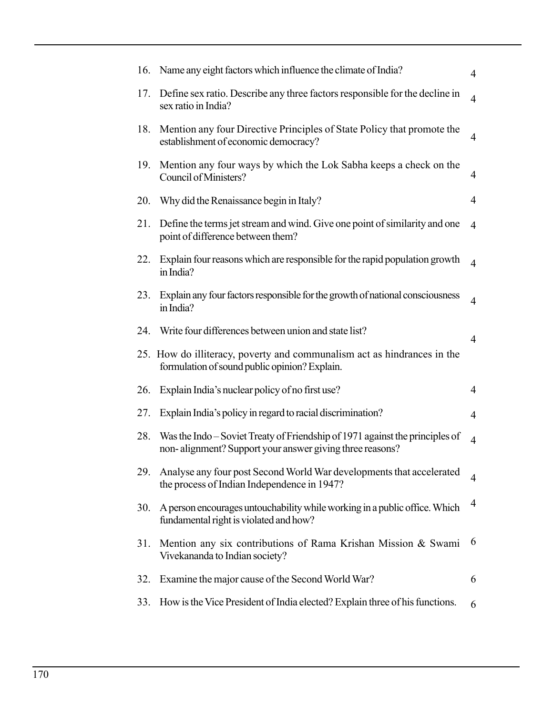| 16. | Name any eight factors which influence the climate of India?                                                                             | $\overline{4}$ |
|-----|------------------------------------------------------------------------------------------------------------------------------------------|----------------|
| 17. | Define sex ratio. Describe any three factors responsible for the decline in<br>sex ratio in India?                                       | $\overline{4}$ |
| 18. | Mention any four Directive Principles of State Policy that promote the<br>establishment of economic democracy?                           | $\overline{4}$ |
| 19. | Mention any four ways by which the Lok Sabha keeps a check on the<br>Council of Ministers?                                               | $\overline{4}$ |
| 20. | Why did the Renaissance begin in Italy?                                                                                                  | $\overline{4}$ |
| 21. | Define the terms jet stream and wind. Give one point of similarity and one<br>point of difference between them?                          | $\overline{4}$ |
| 22. | Explain four reasons which are responsible for the rapid population growth<br>in India?                                                  | $\overline{4}$ |
| 23. | Explain any four factors responsible for the growth of national consciousness<br>in India?                                               | $\overline{4}$ |
| 24. | Write four differences between union and state list?                                                                                     | $\overline{4}$ |
|     | 25. How do illiteracy, poverty and communalism act as hindrances in the<br>formulation of sound public opinion? Explain.                 |                |
| 26. | Explain India's nuclear policy of no first use?                                                                                          | $\overline{4}$ |
| 27. | Explain India's policy in regard to racial discrimination?                                                                               | $\overline{4}$ |
| 28. | Was the Indo – Soviet Treaty of Friendship of 1971 against the principles of<br>non-alignment? Support your answer giving three reasons? | $\overline{4}$ |
| 29. | Analyse any four post Second World War developments that accelerated<br>the process of Indian Independence in 1947?                      | $\overline{4}$ |
| 30. | A person encourages untouchability while working in a public office. Which<br>fundamental right is violated and how?                     | $\overline{4}$ |
| 31. | Mention any six contributions of Rama Krishan Mission & Swami<br>Vivekananda to Indian society?                                          | 6              |
| 32. | Examine the major cause of the Second World War?                                                                                         | 6              |
| 33. | How is the Vice President of India elected? Explain three of his functions.                                                              | 6              |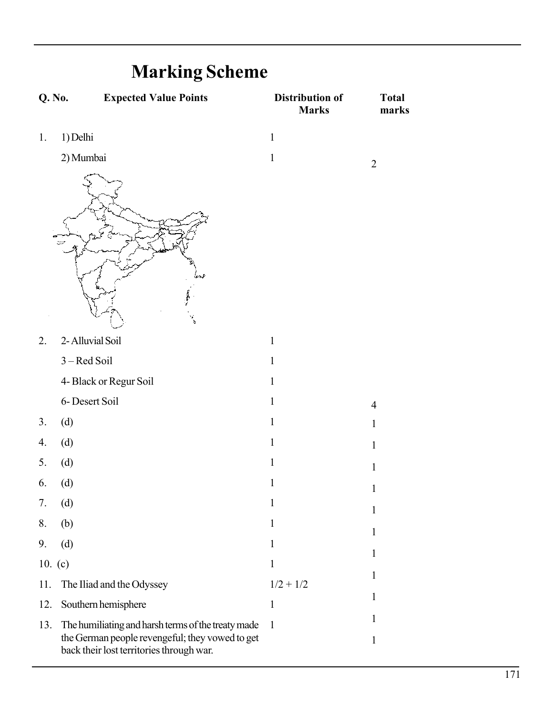| <b>THAI KING DUITURE</b> |                                                                                                                                                   |                                        |                       |
|--------------------------|---------------------------------------------------------------------------------------------------------------------------------------------------|----------------------------------------|-----------------------|
| Q. No.                   | <b>Expected Value Points</b>                                                                                                                      | <b>Distribution of</b><br><b>Marks</b> | <b>Total</b><br>marks |
| 1.                       | 1) Delhi                                                                                                                                          | $\mathbf{1}$                           |                       |
|                          | 2) Mumbai                                                                                                                                         | $\mathbf{1}$                           | $\overline{2}$        |
|                          | ă,                                                                                                                                                |                                        |                       |
| 2.                       | 2- Alluvial Soil                                                                                                                                  | $\mathbf{1}$                           |                       |
|                          | 3 - Red Soil                                                                                                                                      | $\mathbf{1}$                           |                       |
|                          | 4- Black or Regur Soil                                                                                                                            | $\mathbf{1}$                           |                       |
|                          | 6- Desert Soil                                                                                                                                    | $\mathbf{1}$                           | $\overline{4}$        |
| 3.                       | (d)                                                                                                                                               | $\mathbf{1}$                           | $\mathbf{1}$          |
| 4.                       | (d)                                                                                                                                               | $\mathbf{1}$                           | $\mathbf{1}$          |
| 5.                       | (d)                                                                                                                                               | $\mathbf{1}$                           | $\mathbf{1}$          |
| 6.                       | (d)                                                                                                                                               | 1                                      | $\mathbf{1}$          |
| 7.                       | (d)                                                                                                                                               | $\mathbf{1}$                           | $\mathbf{1}$          |
| 8.                       | (b)                                                                                                                                               | 1                                      | $\mathbf{1}$          |
| 9.                       | (d)                                                                                                                                               | 1                                      | 1                     |
| 10. $(c)$                |                                                                                                                                                   | $\mathbf{1}$                           |                       |
| 11.                      | The Iliad and the Odyssey                                                                                                                         | $1/2 + 1/2$                            | 1                     |
| 12.                      | Southern hemisphere                                                                                                                               | $\mathbf{1}$                           | 1                     |
| 13.                      | The humiliating and harsh terms of the treaty made<br>the German people revengeful; they vowed to get<br>back their lost territories through war. | $\mathbf{1}$                           | 1<br>$\mathbf{1}$     |

## **Marking Scheme**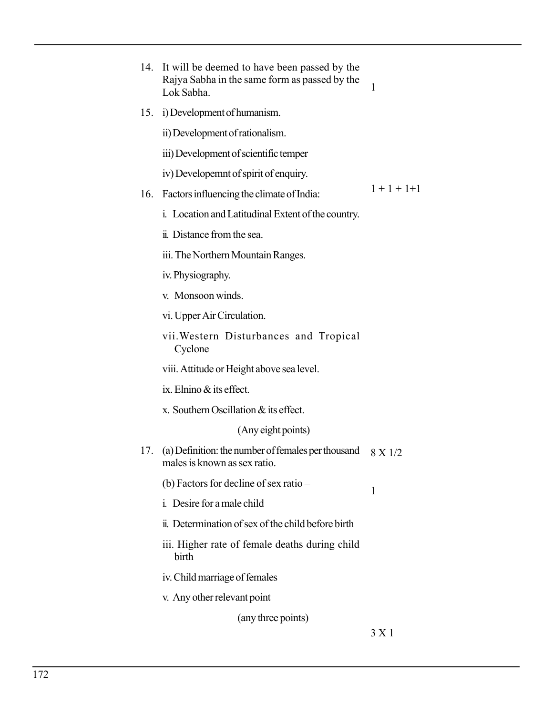|     | 14. It will be deemed to have been passed by the<br>Rajya Sabha in the same form as passed by the<br>Lok Sabha. | $\mathbf{1}$    |  |
|-----|-----------------------------------------------------------------------------------------------------------------|-----------------|--|
|     | 15. i) Development of humanism.                                                                                 |                 |  |
|     | ii) Development of rationalism.                                                                                 |                 |  |
|     | iii) Development of scientific temper                                                                           |                 |  |
|     | iv) Developemnt of spirit of enquiry.                                                                           |                 |  |
| 16. | Factors influencing the climate of India:                                                                       | $1 + 1 + 1 + 1$ |  |
|     | i. Location and Latitudinal Extent of the country.                                                              |                 |  |
|     | ii. Distance from the sea.                                                                                      |                 |  |
|     | iii. The Northern Mountain Ranges.                                                                              |                 |  |
|     | iv. Physiography.                                                                                               |                 |  |
|     | v. Monsoon winds.                                                                                               |                 |  |
|     | vi. Upper Air Circulation.                                                                                      |                 |  |
|     | vii. Western Disturbances and Tropical<br>Cyclone                                                               |                 |  |
|     | viii. Attitude or Height above sea level.                                                                       |                 |  |
|     | ix. Elnino & its effect.                                                                                        |                 |  |
|     | x. Southern Oscillation & its effect.                                                                           |                 |  |
|     | (Any eight points)                                                                                              |                 |  |
| 17. | (a) Definition: the number of females per thousand<br>males is known as sex ratio.                              | 8 X 1/2         |  |
|     | (b) Factors for decline of sex ratio –                                                                          | 1               |  |
|     | <i>i.</i> Desire for a male child                                                                               |                 |  |
|     | ii. Determination of sex of the child before birth                                                              |                 |  |
|     | iii. Higher rate of female deaths during child<br>birth                                                         |                 |  |
|     | iv. Child marriage of females                                                                                   |                 |  |
|     | v. Any other relevant point                                                                                     |                 |  |
|     | (any three points)                                                                                              |                 |  |

3 X 1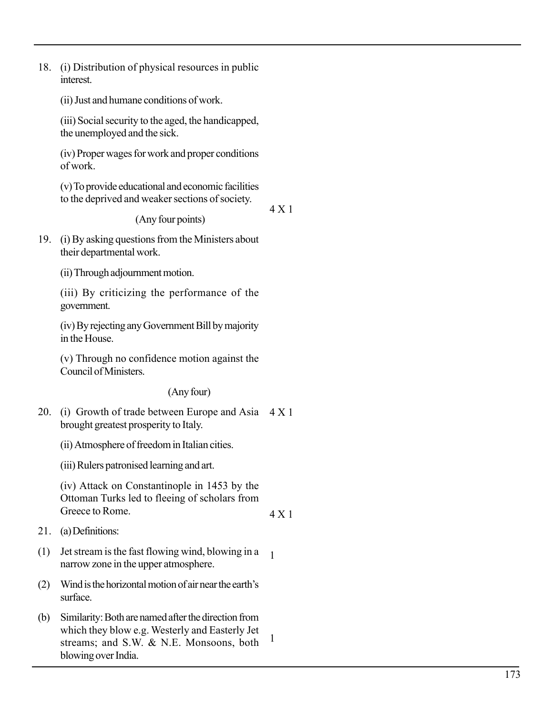18. (i) Distribution of physical resources in public interest.

(ii) Just and humane conditions of work.

(iii) Social security to the aged, the handicapped, the unemployed and the sick.

(iv) Proper wages for work and proper conditions of work.

(v) To provide educational and economic facilities to the deprived and weaker sections of society.

(Any four points)

4 X 1

4 X 1

1<br>1<br>1

19. (i) By asking questions from the Ministers about their departmental work.

(ii) Through adjournment motion.

(iii) By criticizing the performance of the government.

(iv) By rejecting any Government Bill by majority in the House.

(v) Through no confidence motion against the Council of Ministers.

(Any four)

20. (i) Growth of trade between Europe and Asia 4 X 1 brought greatest prosperity to Italy.

(ii) Atmosphere of freedom in Italian cities.

(iii) Rulers patronised learning and art.

(iv) Attack on Constantinople in 1453 by the Ottoman Turks led to fleeing of scholars from Greece to Rome.

21. (a) Definitions:

- (1) Jet stream is the fast flowing wind, blowing in a  $\mathbf{1}$ narrow zone in the upper atmosphere.
- (2) Wind is the horizontal motion of air near the earth's surface.
- (b) Similarity: Both are named after the direction from which they blow e.g. Westerly and Easterly Jet streams; and S.W. & N.E. Monsoons, both blowing over India.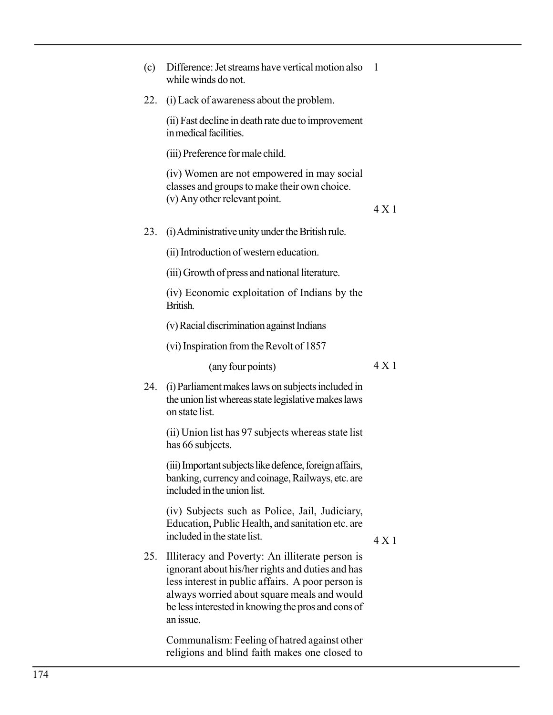| (c) | Difference: Jet streams have vertical motion also<br>while winds do not.                                                                                                                                                                                                   | -1    |
|-----|----------------------------------------------------------------------------------------------------------------------------------------------------------------------------------------------------------------------------------------------------------------------------|-------|
| 22. | (i) Lack of awareness about the problem.                                                                                                                                                                                                                                   |       |
|     | (ii) Fast decline in death rate due to improvement<br>in medical facilities.                                                                                                                                                                                               |       |
|     | (iii) Preference for male child.                                                                                                                                                                                                                                           |       |
|     | (iv) Women are not empowered in may social<br>classes and groups to make their own choice.<br>(v) Any other relevant point.                                                                                                                                                | 4X1   |
| 23. | (i) Administrative unity under the British rule.                                                                                                                                                                                                                           |       |
|     | (ii) Introduction of western education.                                                                                                                                                                                                                                    |       |
|     | (iii) Growth of press and national literature.                                                                                                                                                                                                                             |       |
|     | (iv) Economic exploitation of Indians by the<br>British.                                                                                                                                                                                                                   |       |
|     | (v) Racial discrimination against Indians                                                                                                                                                                                                                                  |       |
|     | (vi) Inspiration from the Revolt of 1857                                                                                                                                                                                                                                   |       |
|     | (any four points)                                                                                                                                                                                                                                                          | 4X1   |
| 24. | (i) Parliament makes laws on subjects included in<br>the union list whereas state legislative makes laws<br>on state list.                                                                                                                                                 |       |
|     | (ii) Union list has 97 subjects whereas state list<br>has 66 subjects.                                                                                                                                                                                                     |       |
|     | (iii) Important subjects like defence, foreign affairs,<br>banking, currency and coinage, Railways, etc. are<br>included in the union list.                                                                                                                                |       |
|     | (iv) Subjects such as Police, Jail, Judiciary,<br>Education, Public Health, and sanitation etc. are<br>included in the state list.                                                                                                                                         | 4 X 1 |
| 25. | Illiteracy and Poverty: An illiterate person is<br>ignorant about his/her rights and duties and has<br>less interest in public affairs. A poor person is<br>always worried about square meals and would<br>be less interested in knowing the pros and cons of<br>an issue. |       |
|     | Communalism: Feeling of hatred against other                                                                                                                                                                                                                               |       |

religions and blind faith makes one closed to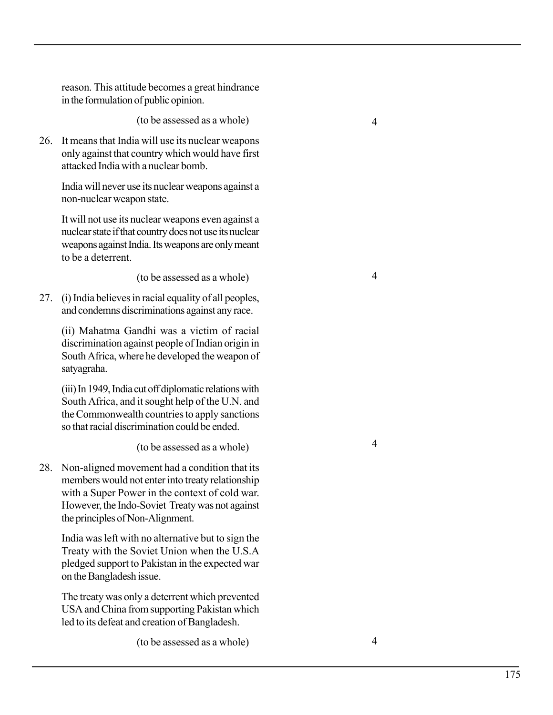reason. This attitude becomes a great hindrance in the formulation of public opinion.

(to be assessed as a whole)

26. It means that India will use its nuclear weapons only against that country which would have first attacked India with a nuclear bomb.

India will never use its nuclear weapons against a non-nuclear weapon state.

It will not use its nuclear weapons even against a nuclear state if that country does not use its nuclear weapons against India. Its weapons are only meant to be a deterrent.

(to be assessed as a whole)

27. (i) India believes in racial equality of all peoples, and condemns discriminations against any race.

(ii) Mahatma Gandhi was a victim of racial discrimination against people of Indian origin in South Africa, where he developed the weapon of satyagraha.

(iii) In 1949, India cut off diplomatic relations with South Africa, and it sought help of the U.N. and the Commonwealth countries to apply sanctions so that racial discrimination could be ended.

(to be assessed as a whole)

28. Non-aligned movement had a condition that its members would not enter into treaty relationship with a Super Power in the context of cold war. However, the Indo-Soviet Treaty was not against the principles of Non-Alignment.

India was left with no alternative but to sign the Treaty with the Soviet Union when the U.S.A pledged support to Pakistan in the expected war on the Bangladesh issue.

The treaty was only a deterrent which prevented USA and China from supporting Pakistan which led to its defeat and creation of Bangladesh.

(to be assessed as a whole)

 $\overline{4}$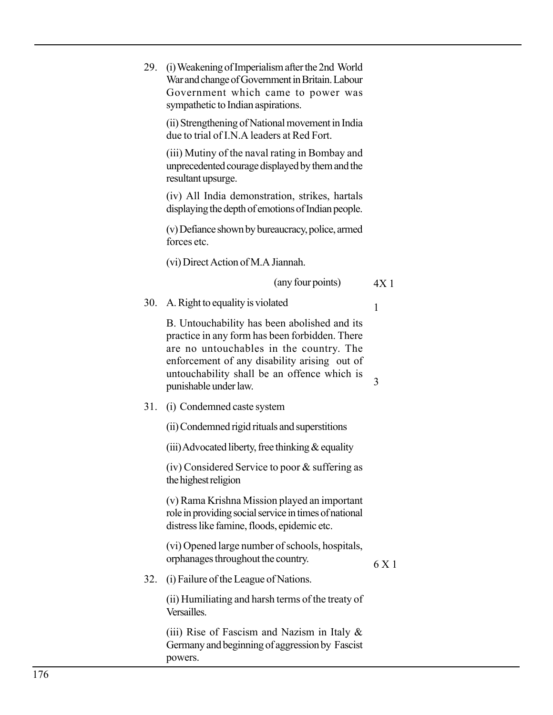|     | 29. (i) Weakening of Imperialism after the 2nd World<br>War and change of Government in Britain. Labour<br>Government which came to power was<br>sympathetic to Indian aspirations.                                                                               |                 |
|-----|-------------------------------------------------------------------------------------------------------------------------------------------------------------------------------------------------------------------------------------------------------------------|-----------------|
|     | (ii) Strengthening of National movement in India<br>due to trial of I.N.A leaders at Red Fort.                                                                                                                                                                    |                 |
|     | (iii) Mutiny of the naval rating in Bombay and<br>unprecedented courage displayed by them and the<br>resultant upsurge.                                                                                                                                           |                 |
|     | (iv) All India demonstration, strikes, hartals<br>displaying the depth of emotions of Indian people.                                                                                                                                                              |                 |
|     | (v) Defiance shown by bureaucracy, police, armed<br>forces etc.                                                                                                                                                                                                   |                 |
|     | (vi) Direct Action of M.A Jiannah.                                                                                                                                                                                                                                |                 |
|     | (any four points)                                                                                                                                                                                                                                                 | 4X <sub>1</sub> |
|     | 30. A. Right to equality is violated                                                                                                                                                                                                                              | 1               |
|     | B. Untouchability has been abolished and its<br>practice in any form has been forbidden. There<br>are no untouchables in the country. The<br>enforcement of any disability arising out of<br>untouchability shall be an offence which is<br>punishable under law. | 3               |
| 31. | (i) Condemned caste system                                                                                                                                                                                                                                        |                 |
|     | (ii) Condemned rigid rituals and superstitions                                                                                                                                                                                                                    |                 |
|     | (iii) Advocated liberty, free thinking $\&$ equality                                                                                                                                                                                                              |                 |
|     | $(iv)$ Considered Service to poor $&$ suffering as<br>the highest religion                                                                                                                                                                                        |                 |
|     | (v) Rama Krishna Mission played an important<br>role in providing social service in times of national<br>distress like famine, floods, epidemic etc.                                                                                                              |                 |
|     | (vi) Opened large number of schools, hospitals,<br>orphanages throughout the country.                                                                                                                                                                             | 6 X 1           |
| 32. | (i) Failure of the League of Nations.                                                                                                                                                                                                                             |                 |
|     | (ii) Humiliating and harsh terms of the treaty of<br>Versailles.                                                                                                                                                                                                  |                 |
|     | (iii) Rise of Fascism and Nazism in Italy $\&$<br>Germany and beginning of aggression by Fascist<br>powers.                                                                                                                                                       |                 |